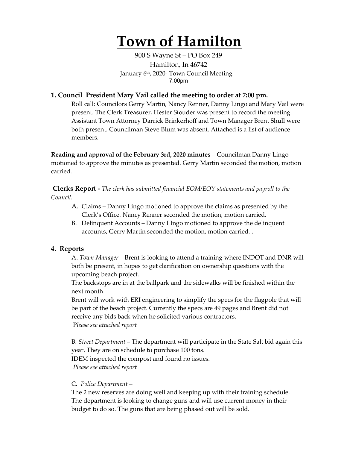# **Town of Hamilton**

900 S Wayne St – PO Box 249 Hamilton, In 46742 January 6<sup>th</sup>, 2020- Town Council Meeting 7:00pm

## **1. Council President Mary Vail called the meeting to order at 7:00 pm.**

Roll call: Councilors Gerry Martin, Nancy Renner, Danny Lingo and Mary Vail were present. The Clerk Treasurer, Hester Stouder was present to record the meeting. Assistant Town Attorney Darrick Brinkerhoff and Town Manager Brent Shull were both present. Councilman Steve Blum was absent. Attached is a list of audience members.

**Reading and approval of the February 3rd, 2020 minutes** – Councilman Danny Lingo motioned to approve the minutes as presented. Gerry Martin seconded the motion, motion carried.

**Clerks Report -** *The clerk has submitted financial EOM/EOY statements and payroll to the Council.* 

- A. Claims Danny Lingo motioned to approve the claims as presented by the Clerk's Office. Nancy Renner seconded the motion, motion carried.
- B. Delinquent Accounts Danny LIngo motioned to approve the delinquent accounts, Gerry Martin seconded the motion, motion carried. .

### **4. Reports**

A. *Town Manager* – Brent is looking to attend a training where INDOT and DNR will both be present, in hopes to get clarification on ownership questions with the upcoming beach project.

The backstops are in at the ballpark and the sidewalks will be finished within the next month.

Brent will work with ERI engineering to simplify the specs for the flagpole that will be part of the beach project. Currently the specs are 49 pages and Brent did not receive any bids back when he solicited various contractors. P*lease see attached report*

B*. Street Department* – The department will participate in the State Salt bid again this year. They are on schedule to purchase 100 tons. IDEM inspected the compost and found no issues. *Please see attached report*

#### C**.** *Police Department –*

The 2 new reserves are doing well and keeping up with their training schedule. The department is looking to change guns and will use current money in their budget to do so. The guns that are being phased out will be sold.